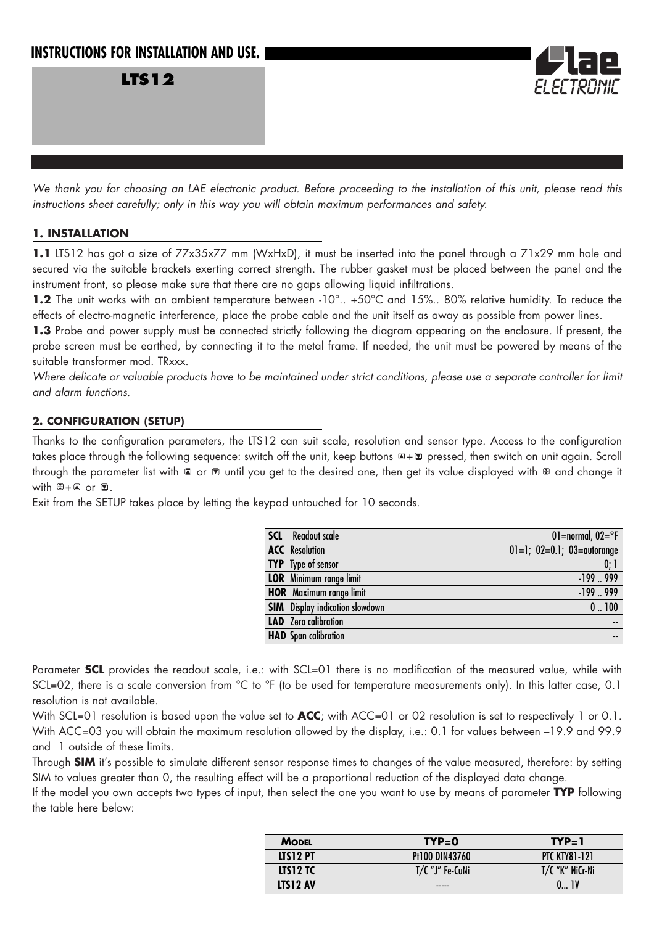## **INSTRUCTIONS FOR INSTALLATION AND USE.**

**LTS12**



*We thank you for choosing an LAE electronic product. Before proceeding to the installation of this unit, please read this instructions sheet carefully; only in this way you will obtain maximum performances and safety.*

## **1. INSTALLATION**

**1.1** LTS12 has got a size of 77x35x77 mm (WxHxD), it must be inserted into the panel through a 71x29 mm hole and secured via the suitable brackets exerting correct strength. The rubber gasket must be placed between the panel and the instrument front, so please make sure that there are no gaps allowing liquid infiltrations.

**1.2** The unit works with an ambient temperature between -10°.. +50°C and 15%.. 80% relative humidity. To reduce the effects of electro-magnetic interference, place the probe cable and the unit itself as away as possible from power lines.

1.3 Probe and power supply must be connected strictly following the diagram appearing on the enclosure. If present, the probe screen must be earthed, by connecting it to the metal frame. If needed, the unit must be powered by means of the suitable transformer mod. TRxxx.

*Where delicate or valuable products have to be maintained under strict conditions, please use a separate controller for limit and alarm functions.*

## **2. CONFIGURATION (SETUP)**

Thanks to the configuration parameters, the LTS12 can suit scale, resolution and sensor type. Access to the configuration takes place through the following sequence: switch off the unit, keep buttons  $B + B$  pressed, then switch on unit again. Scroll through the parameter list with  $\Box$  or  $\Box$  until you get to the desired one, then get its value displayed with  $\Box$  and change it with  $\mathbb{E} + \mathbb{E}$  or  $\mathbb{E}$ .

Exit from the SETUP takes place by letting the keypad untouched for 10 seconds.

| 01=normal, $02 = ^{\circ}F$              |
|------------------------------------------|
| $01 = 1$ ; $02 = 0.1$ ; $03 =$ autorange |
| 0;1                                      |
| $-199.999$                               |
| $-199.999$                               |
| 0.100                                    |
| $- -$                                    |
|                                          |
|                                          |

Parameter **SCL** provides the readout scale, i.e.: with SCL=01 there is no modification of the measured value, while with SCL=02, there is a scale conversion from °C to °F (to be used for temperature measurements only). In this latter case, 0.1 resolution is not available.

With SCL=01 resolution is based upon the value set to **ACC**; with ACC=01 or 02 resolution is set to respectively 1 or 0.1. With ACC=03 you will obtain the maximum resolution allowed by the display, i.e.: 0.1 for values between –19.9 and 99.9 and 1 outside of these limits.

Through **SIM** it's possible to simulate different sensor response times to changes of the value measured, therefore: by setting SIM to values greater than 0, the resulting effect will be a proportional reduction of the displayed data change.

If the model you own accepts two types of input, then select the one you want to use by means of parameter **TYP** following the table here below:

| <b>MODEL</b> | $TYP = 0$         | $TP = 1$             |
|--------------|-------------------|----------------------|
| LTS12 PT     | Pt100 DIN43760    | <b>PTC KTY81-121</b> |
| LTS12 TC     | $T/C$ "J" Fe-CuNi | T/C "K" NiCr-Ni      |
| LTS12 AV     | -----             |                      |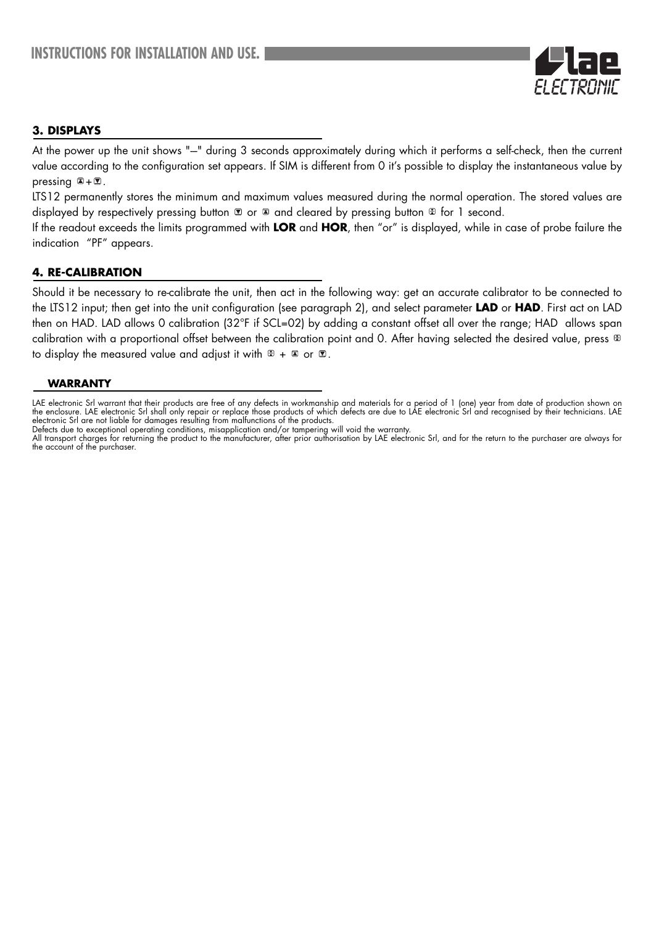

## **3. DISPLAYS**

At the power up the unit shows "-" during 3 seconds approximately during which it performs a self-check, then the current value according to the configuration set appears. If SIM is different from 0 it's possible to display the instantaneous value by pressing  $\mathbb{Z} + \mathbb{Z}$ .

LTS12 permanently stores the minimum and maximum values measured during the normal operation. The stored values are displayed by respectively pressing button  $\mathbb{Z}$  or  $\mathbb{Z}$  and cleared by pressing button  $\mathbb{Z}$  for 1 second.

If the readout exceeds the limits programmed with **LOR** and **HOR**, then "or" is displayed, while in case of probe failure the indication "PF" appears.

## **4. RE-CALIBRATION**

Should it be necessary to re-calibrate the unit, then act in the following way: get an accurate calibrator to be connected to the LTS12 input; then get into the unit configuration (see paragraph 2), and select parameter **LAD** or **HAD**. First act on LAD then on HAD. LAD allows 0 calibration (32°F if SCL=02) by adding a constant offset all over the range; HAD allows span calibration with a proportional offset between the calibration point and 0. After having selected the desired value, press  $\mathbb E$ to display the measured value and adjust it with  $\mathbb{E} + \mathbb{E}$  or  $\mathbb{E}$ .

#### **WARRANTY**

LAE electronic Srl warrant that their products are free of any defects in workmanship and materials for a period of 1 (one) year from date of production shown on the enclosure. LAE electronic Srl shall only repair or replace those products of which defects are due to LAE electronic Srl and recognised by their technicians. LAE electronic Srl are not liable for damages resulting from malfunctions of the products.

Defects due to exceptional operating conditions, misapplication and/or tampering will void the warranty.

All transport charges for returning the product to the manufacturer, after prior authorisation by LAE electronic Srl, and for the return to the purchaser are always for the account of the purchaser.